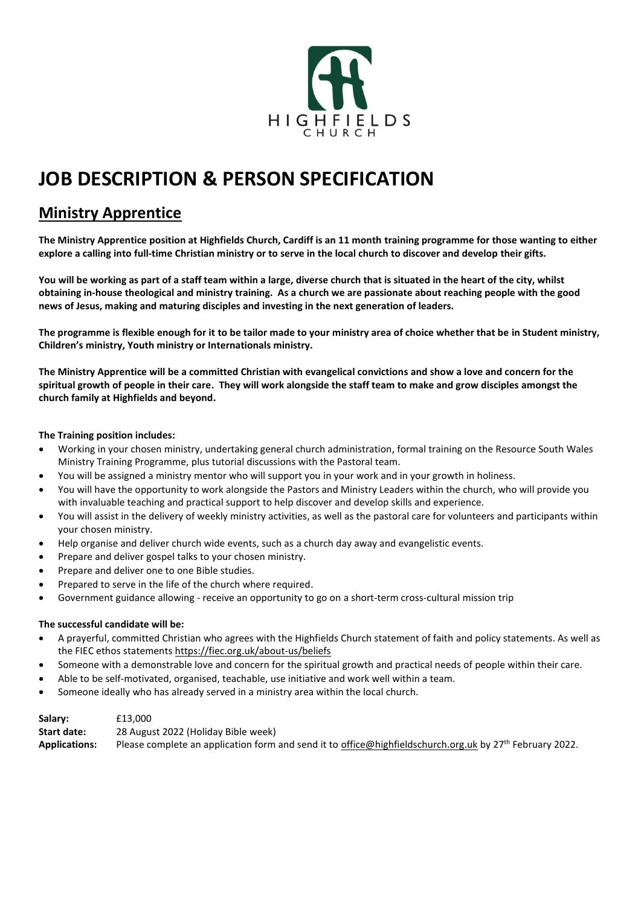

# **JOB DESCRIPTION & PERSON SPECIFICATION**

# **Ministry Apprentice**

**The Ministry Apprentice position at Highfields Church, Cardiff is an 11 month training programme for those wanting to either explore a calling into full-time Christian ministry or to serve in the local church to discover and develop their gifts.**

**You will be working as part of a staff team within a large, diverse church that is situated in the heart of the city, whilst obtaining in-house theological and ministry training. As a church we are passionate about reaching people with the good news of Jesus, making and maturing disciples and investing in the next generation of leaders.** 

**The programme is flexible enough for it to be tailor made to your ministry area of choice whether that be in Student ministry, Children's ministry, Youth ministry or Internationals ministry.**

**The Ministry Apprentice will be a committed Christian with evangelical convictions and show a love and concern for the spiritual growth of people in their care. They will work alongside the staff team to make and grow disciples amongst the church family at Highfields and beyond.**

## **The Training position includes:**

- Working in your chosen ministry, undertaking general church administration, formal training on the Resource South Wales Ministry Training Programme, plus tutorial discussions with the Pastoral team.
- You will be assigned a ministry mentor who will support you in your work and in your growth in holiness.
- You will have the opportunity to work alongside the Pastors and Ministry Leaders within the church, who will provide you with invaluable teaching and practical support to help discover and develop skills and experience.
- You will assist in the delivery of weekly ministry activities, as well as the pastoral care for volunteers and participants within your chosen ministry.
- Help organise and deliver church wide events, such as a church day away and evangelistic events.
- Prepare and deliver gospel talks to your chosen ministry.
- Prepare and deliver one to one Bible studies.
- Prepared to serve in the life of the church where required.
- Government guidance allowing receive an opportunity to go on a short-term cross-cultural mission trip

### **The successful candidate will be:**

- A prayerful, committed Christian who agrees with the Highfields Church statement of faith and policy statements. As well as the FIEC ethos statement[s https://fiec.org.uk/about-us/beliefs](https://fiec.org.uk/about-us/beliefs)
- Someone with a demonstrable love and concern for the spiritual growth and practical needs of people within their care.
- Able to be self-motivated, organised, teachable, use initiative and work well within a team.
- Someone ideally who has already served in a ministry area within the local church.

| Salary:              | £13,000                                                                                                              |
|----------------------|----------------------------------------------------------------------------------------------------------------------|
| <b>Start date:</b>   | 28 August 2022 (Holiday Bible week)                                                                                  |
| <b>Applications:</b> | Please complete an application form and send it to office@highfieldschurch.org.uk by 27 <sup>th</sup> February 2022. |